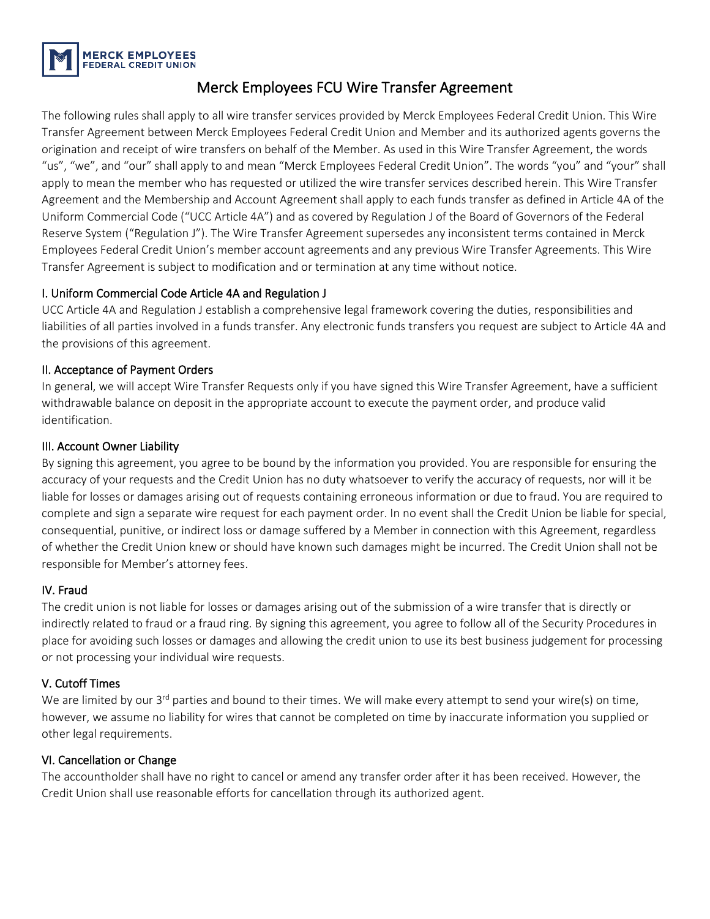

### Merck Employees FCU Wire Transfer Agreement

The following rules shall apply to all wire transfer services provided by Merck Employees Federal Credit Union. This Wire Transfer Agreement between Merck Employees Federal Credit Union and Member and its authorized agents governs the origination and receipt of wire transfers on behalf of the Member. As used in this Wire Transfer Agreement, the words "us", "we", and "our" shall apply to and mean "Merck Employees Federal Credit Union". The words "you" and "your" shall apply to mean the member who has requested or utilized the wire transfer services described herein. This Wire Transfer Agreement and the Membership and Account Agreement shall apply to each funds transfer as defined in Article 4A of the Uniform Commercial Code ("UCC Article 4A") and as covered by Regulation J of the Board of Governors of the Federal Reserve System ("Regulation J"). The Wire Transfer Agreement supersedes any inconsistent terms contained in Merck Employees Federal Credit Union's member account agreements and any previous Wire Transfer Agreements. This Wire Transfer Agreement is subject to modification and or termination at any time without notice.

#### I. Uniform Commercial Code Article 4A and Regulation J

UCC Article 4A and Regulation J establish a comprehensive legal framework covering the duties, responsibilities and liabilities of all parties involved in a funds transfer. Any electronic funds transfers you request are subject to Article 4A and the provisions of this agreement.

#### II. Acceptance of Payment Orders

In general, we will accept Wire Transfer Requests only if you have signed this Wire Transfer Agreement, have a sufficient withdrawable balance on deposit in the appropriate account to execute the payment order, and produce valid identification.

#### III. Account Owner Liability

By signing this agreement, you agree to be bound by the information you provided. You are responsible for ensuring the accuracy of your requests and the Credit Union has no duty whatsoever to verify the accuracy of requests, nor will it be liable for losses or damages arising out of requests containing erroneous information or due to fraud. You are required to complete and sign a separate wire request for each payment order. In no event shall the Credit Union be liable for special, consequential, punitive, or indirect loss or damage suffered by a Member in connection with this Agreement, regardless of whether the Credit Union knew or should have known such damages might be incurred. The Credit Union shall not be responsible for Member's attorney fees.

#### IV. Fraud

The credit union is not liable for losses or damages arising out of the submission of a wire transfer that is directly or indirectly related to fraud or a fraud ring. By signing this agreement, you agree to follow all of the Security Procedures in place for avoiding such losses or damages and allowing the credit union to use its best business judgement for processing or not processing your individual wire requests.

#### V. Cutoff Times

We are limited by our  $3^{rd}$  parties and bound to their times. We will make every attempt to send your wire(s) on time, however, we assume no liability for wires that cannot be completed on time by inaccurate information you supplied or other legal requirements.

#### VI. Cancellation or Change

The accountholder shall have no right to cancel or amend any transfer order after it has been received. However, the Credit Union shall use reasonable efforts for cancellation through its authorized agent.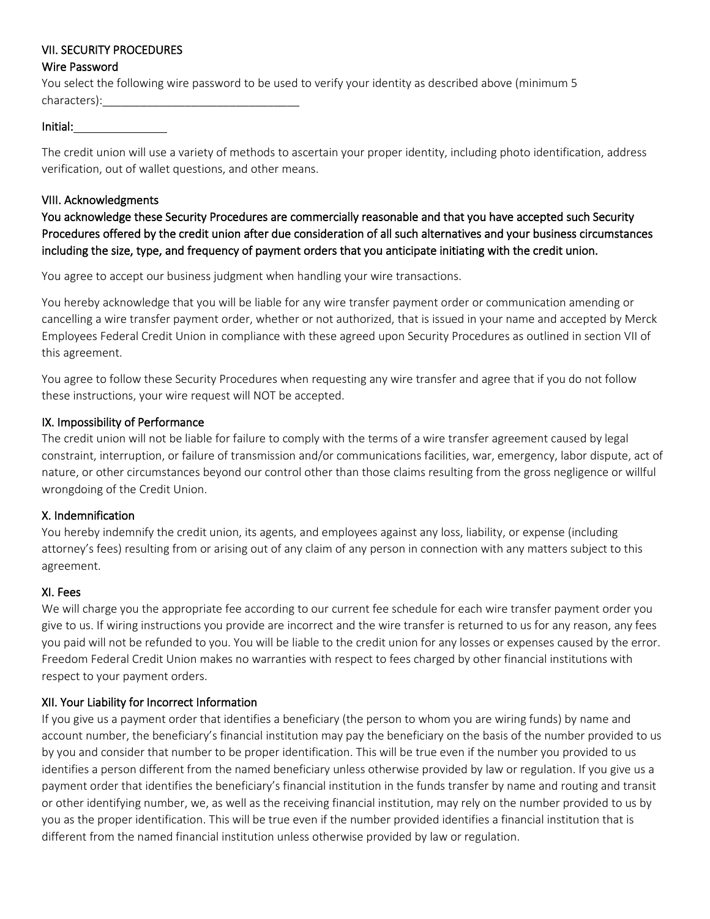#### VII. SECURITY PROCEDURES

#### Wire Password

You select the following wire password to be used to verify your identity as described above (minimum 5 characters):\_\_\_\_\_\_\_\_\_\_\_\_\_\_\_\_\_\_\_\_\_\_\_\_\_\_\_\_\_\_\_

#### Initial:

The credit union will use a variety of methods to ascertain your proper identity, including photo identification, address verification, out of wallet questions, and other means.

#### VIII. Acknowledgments

You acknowledge these Security Procedures are commercially reasonable and that you have accepted such Security Procedures offered by the credit union after due consideration of all such alternatives and your business circumstances including the size, type, and frequency of payment orders that you anticipate initiating with the credit union.

You agree to accept our business judgment when handling your wire transactions.

You hereby acknowledge that you will be liable for any wire transfer payment order or communication amending or cancelling a wire transfer payment order, whether or not authorized, that is issued in your name and accepted by Merck Employees Federal Credit Union in compliance with these agreed upon Security Procedures as outlined in section VII of this agreement.

You agree to follow these Security Procedures when requesting any wire transfer and agree that if you do not follow these instructions, your wire request will NOT be accepted.

#### IX. Impossibility of Performance

The credit union will not be liable for failure to comply with the terms of a wire transfer agreement caused by legal constraint, interruption, or failure of transmission and/or communications facilities, war, emergency, labor dispute, act of nature, or other circumstances beyond our control other than those claims resulting from the gross negligence or willful wrongdoing of the Credit Union.

#### X. Indemnification

You hereby indemnify the credit union, its agents, and employees against any loss, liability, or expense (including attorney's fees) resulting from or arising out of any claim of any person in connection with any matters subject to this agreement.

#### XI. Fees

We will charge you the appropriate fee according to our current fee schedule for each wire transfer payment order you give to us. If wiring instructions you provide are incorrect and the wire transfer is returned to us for any reason, any fees you paid will not be refunded to you. You will be liable to the credit union for any losses or expenses caused by the error. Freedom Federal Credit Union makes no warranties with respect to fees charged by other financial institutions with respect to your payment orders.

#### XII. Your Liability for Incorrect Information

If you give us a payment order that identifies a beneficiary (the person to whom you are wiring funds) by name and account number, the beneficiary's financial institution may pay the beneficiary on the basis of the number provided to us by you and consider that number to be proper identification. This will be true even if the number you provided to us identifies a person different from the named beneficiary unless otherwise provided by law or regulation. If you give us a payment order that identifies the beneficiary's financial institution in the funds transfer by name and routing and transit or other identifying number, we, as well as the receiving financial institution, may rely on the number provided to us by you as the proper identification. This will be true even if the number provided identifies a financial institution that is different from the named financial institution unless otherwise provided by law or regulation.